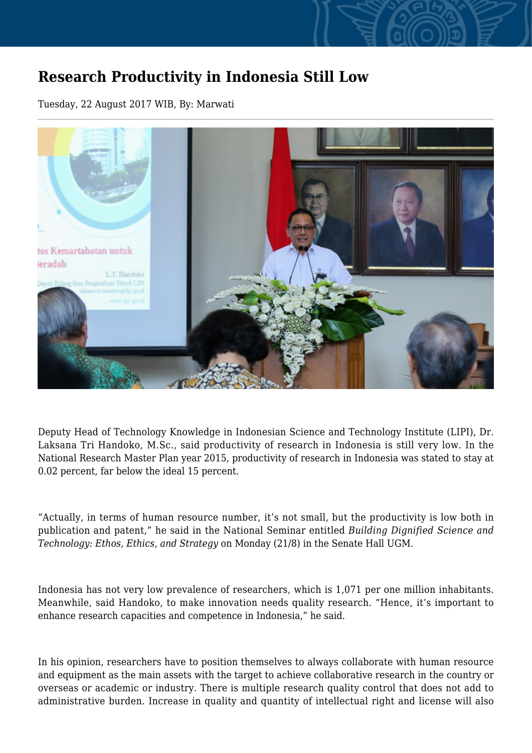## **Research Productivity in Indonesia Still Low**

Tuesday, 22 August 2017 WIB, By: Marwati



Deputy Head of Technology Knowledge in Indonesian Science and Technology Institute (LIPI), Dr. Laksana Tri Handoko, M.Sc., said productivity of research in Indonesia is still very low. In the National Research Master Plan year 2015, productivity of research in Indonesia was stated to stay at 0.02 percent, far below the ideal 15 percent.

"Actually, in terms of human resource number, it's not small, but the productivity is low both in publication and patent," he said in the National Seminar entitled *Building Dignified Science and Technology: Ethos, Ethics, and Strategy* on Monday (21/8) in the Senate Hall UGM.

Indonesia has not very low prevalence of researchers, which is 1,071 per one million inhabitants. Meanwhile, said Handoko, to make innovation needs quality research. "Hence, it's important to enhance research capacities and competence in Indonesia," he said.

In his opinion, researchers have to position themselves to always collaborate with human resource and equipment as the main assets with the target to achieve collaborative research in the country or overseas or academic or industry. There is multiple research quality control that does not add to administrative burden. Increase in quality and quantity of intellectual right and license will also